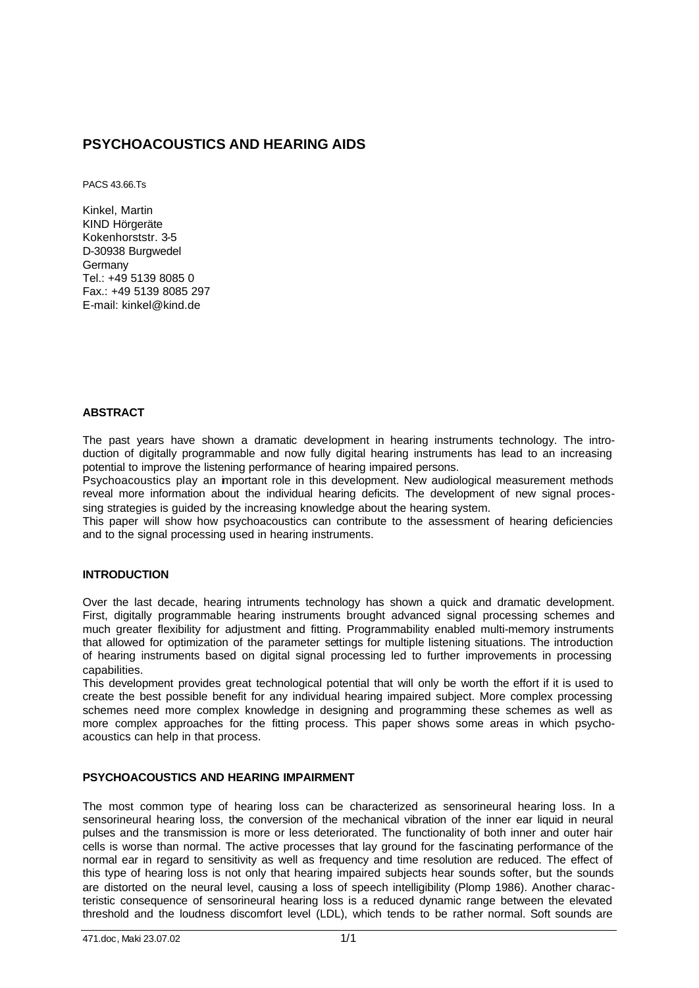# **PSYCHOACOUSTICS AND HEARING AIDS**

PACS 43.66.Ts

Kinkel, Martin KIND Hörgeräte Kokenhorststr. 3-5 D-30938 Burgwedel Germany Tel:  $+49.5139.8085.0$ Fax.: +49 5139 8085 297 E-mail: kinkel@kind.de

# **ABSTRACT**

The past years have shown a dramatic development in hearing instruments technology. The introduction of digitally programmable and now fully digital hearing instruments has lead to an increasing potential to improve the listening performance of hearing impaired persons.

Psychoacoustics play an important role in this development. New audiological measurement methods reveal more information about the individual hearing deficits. The development of new signal processing strategies is guided by the increasing knowledge about the hearing system.

This paper will show how psychoacoustics can contribute to the assessment of hearing deficiencies and to the signal processing used in hearing instruments.

# **INTRODUCTION**

Over the last decade, hearing intruments technology has shown a quick and dramatic development. First, digitally programmable hearing instruments brought advanced signal processing schemes and much greater flexibility for adjustment and fitting. Programmability enabled multi-memory instruments that allowed for optimization of the parameter settings for multiple listening situations. The introduction of hearing instruments based on digital signal processing led to further improvements in processing capabilities.

This development provides great technological potential that will only be worth the effort if it is used to create the best possible benefit for any individual hearing impaired subject. More complex processing schemes need more complex knowledge in designing and programming these schemes as well as more complex approaches for the fitting process. This paper shows some areas in which psychoacoustics can help in that process.

# **PSYCHOACOUSTICS AND HEARING IMPAIRMENT**

The most common type of hearing loss can be characterized as sensorineural hearing loss. In a sensorineural hearing loss, the conversion of the mechanical vibration of the inner ear liquid in neural pulses and the transmission is more or less deteriorated. The functionality of both inner and outer hair cells is worse than normal. The active processes that lay ground for the fascinating performance of the normal ear in regard to sensitivity as well as frequency and time resolution are reduced. The effect of this type of hearing loss is not only that hearing impaired subjects hear sounds softer, but the sounds are distorted on the neural level, causing a loss of speech intelligibility (Plomp 1986). Another characteristic consequence of sensorineural hearing loss is a reduced dynamic range between the elevated threshold and the loudness discomfort level (LDL), which tends to be rather normal. Soft sounds are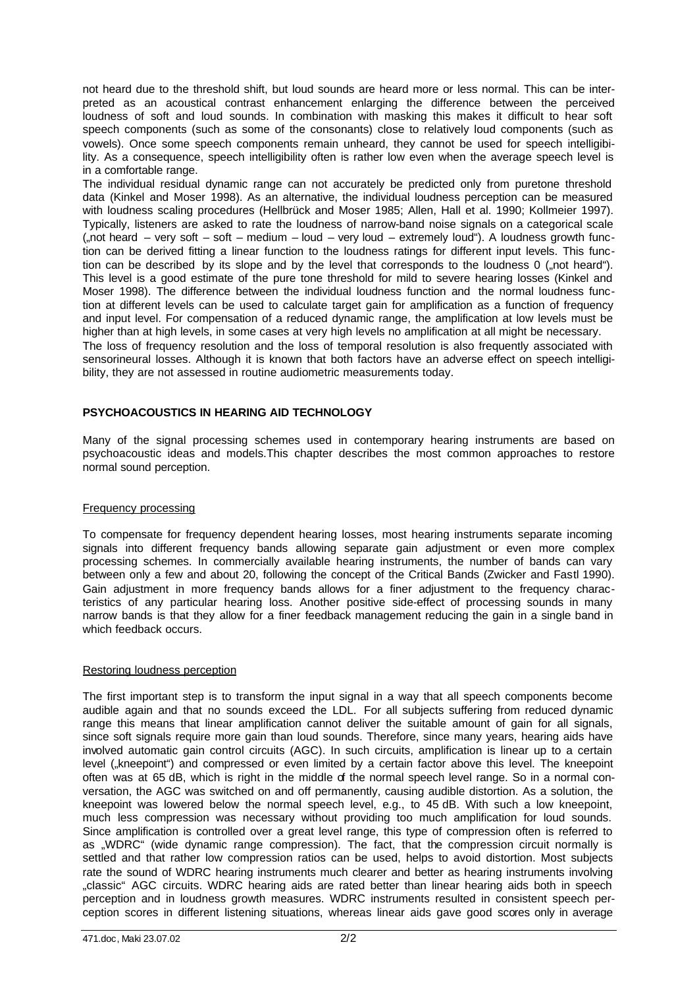not heard due to the threshold shift, but loud sounds are heard more or less normal. This can be interpreted as an acoustical contrast enhancement enlarging the difference between the perceived loudness of soft and loud sounds. In combination with masking this makes it difficult to hear soft speech components (such as some of the consonants) close to relatively loud components (such as vowels). Once some speech components remain unheard, they cannot be used for speech intelligibility. As a consequence, speech intelligibility often is rather low even when the average speech level is in a comfortable range.

The individual residual dynamic range can not accurately be predicted only from puretone threshold data (Kinkel and Moser 1998). As an alternative, the individual loudness perception can be measured with loudness scaling procedures (Hellbrück and Moser 1985; Allen, Hall et al. 1990; Kollmeier 1997). Typically, listeners are asked to rate the loudness of narrow-band noise signals on a categorical scale ("not heard – very soft – soft – medium – loud – very loud – extremely loud"). A loudness growth function can be derived fitting a linear function to the loudness ratings for different input levels. This function can be described by its slope and by the level that corresponds to the loudness 0 ("not heard"). This level is a good estimate of the pure tone threshold for mild to severe hearing losses (Kinkel and Moser 1998). The difference between the individual loudness function and the normal loudness function at different levels can be used to calculate target gain for amplification as a function of frequency and input level. For compensation of a reduced dynamic range, the amplification at low levels must be higher than at high levels, in some cases at very high levels no amplification at all might be necessary. The loss of frequency resolution and the loss of temporal resolution is also frequently associated with sensorineural losses. Although it is known that both factors have an adverse effect on speech intelligibility, they are not assessed in routine audiometric measurements today.

# **PSYCHOACOUSTICS IN HEARING AID TECHNOLOGY**

Many of the signal processing schemes used in contemporary hearing instruments are based on psychoacoustic ideas and models.This chapter describes the most common approaches to restore normal sound perception.

## Frequency processing

To compensate for frequency dependent hearing losses, most hearing instruments separate incoming signals into different frequency bands allowing separate gain adjustment or even more complex processing schemes. In commercially available hearing instruments, the number of bands can vary between only a few and about 20, following the concept of the Critical Bands (Zwicker and Fastl 1990). Gain adjustment in more frequency bands allows for a finer adjustment to the frequency characteristics of any particular hearing loss. Another positive side-effect of processing sounds in many narrow bands is that they allow for a finer feedback management reducing the gain in a single band in which feedback occurs.

## Restoring loudness perception

The first important step is to transform the input signal in a way that all speech components become audible again and that no sounds exceed the LDL. For all subjects suffering from reduced dynamic range this means that linear amplification cannot deliver the suitable amount of gain for all signals, since soft signals require more gain than loud sounds. Therefore, since many years, hearing aids have involved automatic gain control circuits (AGC). In such circuits, amplification is linear up to a certain level ("kneepoint") and compressed or even limited by a certain factor above this level. The kneepoint often was at 65 dB, which is right in the middle of the normal speech level range. So in a normal conversation, the AGC was switched on and off permanently, causing audible distortion. As a solution, the kneepoint was lowered below the normal speech level, e.g., to 45 dB. With such a low kneepoint, much less compression was necessary without providing too much amplification for loud sounds. Since amplification is controlled over a great level range, this type of compression often is referred to as "WDRC" (wide dynamic range compression). The fact, that the compression circuit normally is settled and that rather low compression ratios can be used, helps to avoid distortion. Most subjects rate the sound of WDRC hearing instruments much clearer and better as hearing instruments involving "classic" AGC circuits. WDRC hearing aids are rated better than linear hearing aids both in speech perception and in loudness growth measures. WDRC instruments resulted in consistent speech perception scores in different listening situations, whereas linear aids gave good scores only in average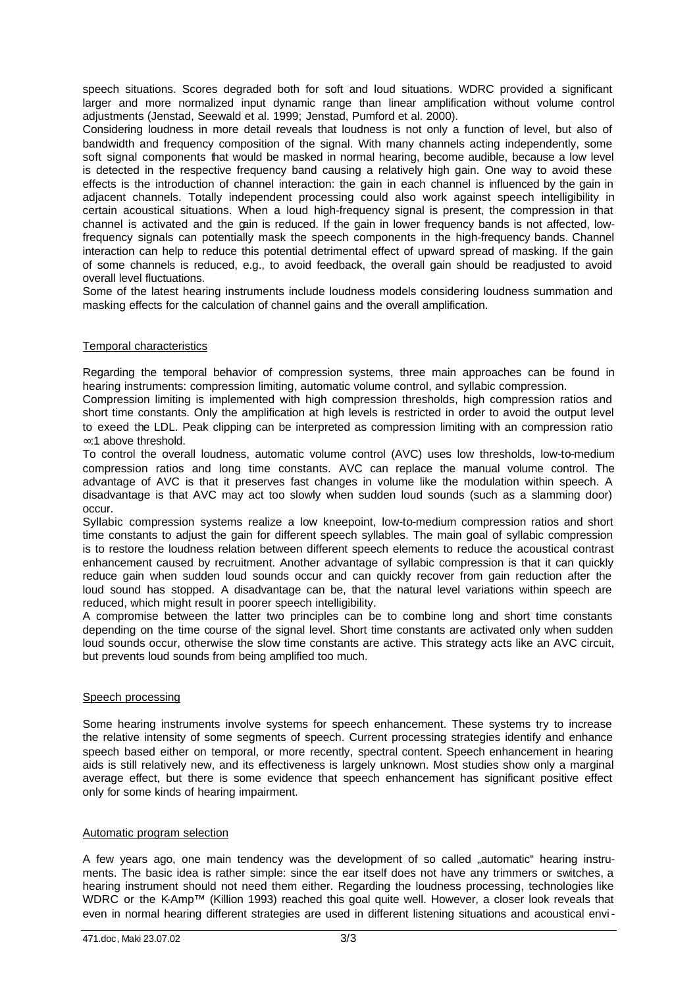speech situations. Scores degraded both for soft and loud situations. WDRC provided a significant larger and more normalized input dynamic range than linear amplification without volume control adjustments (Jenstad, Seewald et al. 1999; Jenstad, Pumford et al. 2000).

Considering loudness in more detail reveals that loudness is not only a function of level, but also of bandwidth and frequency composition of the signal. With many channels acting independently, some soft signal components that would be masked in normal hearing, become audible, because a low level is detected in the respective frequency band causing a relatively high gain. One way to avoid these effects is the introduction of channel interaction: the gain in each channel is influenced by the gain in adjacent channels. Totally independent processing could also work against speech intelligibility in certain acoustical situations. When a loud high-frequency signal is present, the compression in that channel is activated and the gain is reduced. If the gain in lower frequency bands is not affected, lowfrequency signals can potentially mask the speech components in the high-frequency bands. Channel interaction can help to reduce this potential detrimental effect of upward spread of masking. If the gain of some channels is reduced, e.g., to avoid feedback, the overall gain should be readjusted to avoid overall level fluctuations.

Some of the latest hearing instruments include loudness models considering loudness summation and masking effects for the calculation of channel gains and the overall amplification.

## Temporal characteristics

Regarding the temporal behavior of compression systems, three main approaches can be found in hearing instruments: compression limiting, automatic volume control, and syllabic compression.

Compression limiting is implemented with high compression thresholds, high compression ratios and short time constants. Only the amplification at high levels is restricted in order to avoid the output level to exeed the LDL. Peak clipping can be interpreted as compression limiting with an compression ratio ∞:1 above threshold.

To control the overall loudness, automatic volume control (AVC) uses low thresholds, low-to-medium compression ratios and long time constants. AVC can replace the manual volume control. The advantage of AVC is that it preserves fast changes in volume like the modulation within speech. A disadvantage is that AVC may act too slowly when sudden loud sounds (such as a slamming door) occur.

Syllabic compression systems realize a low kneepoint, low-to-medium compression ratios and short time constants to adjust the gain for different speech syllables. The main goal of syllabic compression is to restore the loudness relation between different speech elements to reduce the acoustical contrast enhancement caused by recruitment. Another advantage of syllabic compression is that it can quickly reduce gain when sudden loud sounds occur and can quickly recover from gain reduction after the loud sound has stopped. A disadvantage can be, that the natural level variations within speech are reduced, which might result in poorer speech intelligibility.

A compromise between the latter two principles can be to combine long and short time constants depending on the time course of the signal level. Short time constants are activated only when sudden loud sounds occur, otherwise the slow time constants are active. This strategy acts like an AVC circuit, but prevents loud sounds from being amplified too much.

## Speech processing

Some hearing instruments involve systems for speech enhancement. These systems try to increase the relative intensity of some segments of speech. Current processing strategies identify and enhance speech based either on temporal, or more recently, spectral content. Speech enhancement in hearing aids is still relatively new, and its effectiveness is largely unknown. Most studies show only a marginal average effect, but there is some evidence that speech enhancement has significant positive effect only for some kinds of hearing impairment.

## Automatic program selection

A few years ago, one main tendency was the development of so called "automatic" hearing instruments. The basic idea is rather simple: since the ear itself does not have any trimmers or switches, a hearing instrument should not need them either. Regarding the loudness processing, technologies like WDRC or the K-Amp™ (Killion 1993) reached this goal quite well. However, a closer look reveals that even in normal hearing different strategies are used in different listening situations and acoustical envi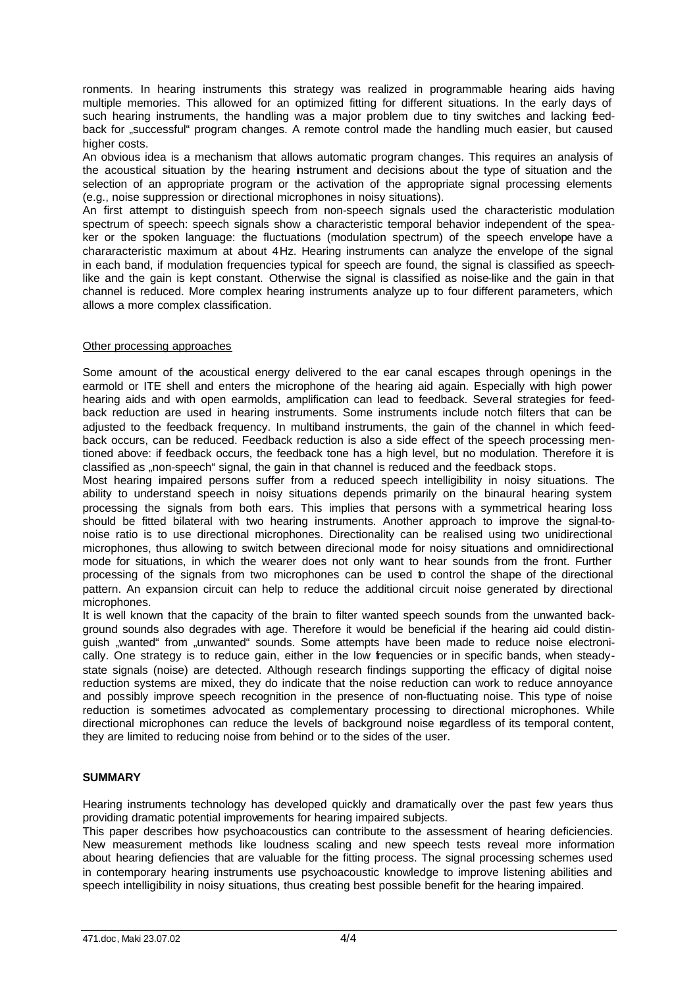ronments. In hearing instruments this strategy was realized in programmable hearing aids having multiple memories. This allowed for an optimized fitting for different situations. In the early days of such hearing instruments, the handling was a major problem due to tiny switches and lacking feedback for "successful" program changes. A remote control made the handling much easier, but caused higher costs.

An obvious idea is a mechanism that allows automatic program changes. This requires an analysis of the acoustical situation by the hearing instrument and decisions about the type of situation and the selection of an appropriate program or the activation of the appropriate signal processing elements (e.g., noise suppression or directional microphones in noisy situations).

An first attempt to distinguish speech from non-speech signals used the characteristic modulation spectrum of speech: speech signals show a characteristic temporal behavior independent of the speaker or the spoken language: the fluctuations (modulation spectrum) of the speech envelope have a chararacteristic maximum at about 4Hz. Hearing instruments can analyze the envelope of the signal in each band, if modulation frequencies typical for speech are found, the signal is classified as speechlike and the gain is kept constant. Otherwise the signal is classified as noise-like and the gain in that channel is reduced. More complex hearing instruments analyze up to four different parameters, which allows a more complex classification.

## Other processing approaches

Some amount of the acoustical energy delivered to the ear canal escapes through openings in the earmold or ITE shell and enters the microphone of the hearing aid again. Especially with high power hearing aids and with open earmolds, amplification can lead to feedback. Several strategies for feedback reduction are used in hearing instruments. Some instruments include notch filters that can be adjusted to the feedback frequency. In multiband instruments, the gain of the channel in which feedback occurs, can be reduced. Feedback reduction is also a side effect of the speech processing mentioned above: if feedback occurs, the feedback tone has a high level, but no modulation. Therefore it is classified as "non-speech" signal, the gain in that channel is reduced and the feedback stops.

Most hearing impaired persons suffer from a reduced speech intelligibility in noisy situations. The ability to understand speech in noisy situations depends primarily on the binaural hearing system processing the signals from both ears. This implies that persons with a symmetrical hearing loss should be fitted bilateral with two hearing instruments. Another approach to improve the signal-tonoise ratio is to use directional microphones. Directionality can be realised using two unidirectional microphones, thus allowing to switch between direcional mode for noisy situations and omnidirectional mode for situations, in which the wearer does not only want to hear sounds from the front. Further processing of the signals from two microphones can be used to control the shape of the directional pattern. An expansion circuit can help to reduce the additional circuit noise generated by directional microphones.

It is well known that the capacity of the brain to filter wanted speech sounds from the unwanted background sounds also degrades with age. Therefore it would be beneficial if the hearing aid could distinguish "wanted" from "unwanted" sounds. Some attempts have been made to reduce noise electronically. One strategy is to reduce gain, either in the low frequencies or in specific bands, when steadystate signals (noise) are detected. Although research findings supporting the efficacy of digital noise reduction systems are mixed, they do indicate that the noise reduction can work to reduce annoyance and possibly improve speech recognition in the presence of non-fluctuating noise. This type of noise reduction is sometimes advocated as complementary processing to directional microphones. While directional microphones can reduce the levels of background noise regardless of its temporal content, they are limited to reducing noise from behind or to the sides of the user.

# **SUMMARY**

Hearing instruments technology has developed quickly and dramatically over the past few years thus providing dramatic potential improvements for hearing impaired subjects.

This paper describes how psychoacoustics can contribute to the assessment of hearing deficiencies. New measurement methods like loudness scaling and new speech tests reveal more information about hearing defiencies that are valuable for the fitting process. The signal processing schemes used in contemporary hearing instruments use psychoacoustic knowledge to improve listening abilities and speech intelligibility in noisy situations, thus creating best possible benefit for the hearing impaired.